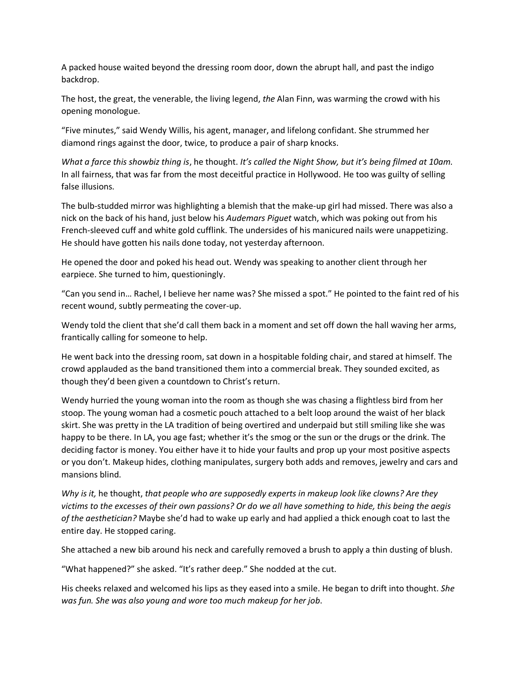A packed house waited beyond the dressing room door, down the abrupt hall, and past the indigo backdrop.

The host, the great, the venerable, the living legend, *the* Alan Finn, was warming the crowd with his opening monologue.

"Five minutes," said Wendy Willis, his agent, manager, and lifelong confidant. She strummed her diamond rings against the door, twice, to produce a pair of sharp knocks.

*What a farce this showbiz thing is*, he thought. *It's called the Night Show, but it's being filmed at 10am.* In all fairness, that was far from the most deceitful practice in Hollywood. He too was guilty of selling false illusions.

The bulb-studded mirror was highlighting a blemish that the make-up girl had missed. There was also a nick on the back of his hand, just below his *Audemars Piguet* watch, which was poking out from his French-sleeved cuff and white gold cufflink. The undersides of his manicured nails were unappetizing. He should have gotten his nails done today, not yesterday afternoon.

He opened the door and poked his head out. Wendy was speaking to another client through her earpiece. She turned to him, questioningly.

"Can you send in… Rachel, I believe her name was? She missed a spot." He pointed to the faint red of his recent wound, subtly permeating the cover-up.

Wendy told the client that she'd call them back in a moment and set off down the hall waving her arms, frantically calling for someone to help.

He went back into the dressing room, sat down in a hospitable folding chair, and stared at himself. The crowd applauded as the band transitioned them into a commercial break. They sounded excited, as though they'd been given a countdown to Christ's return.

Wendy hurried the young woman into the room as though she was chasing a flightless bird from her stoop. The young woman had a cosmetic pouch attached to a belt loop around the waist of her black skirt. She was pretty in the LA tradition of being overtired and underpaid but still smiling like she was happy to be there. In LA, you age fast; whether it's the smog or the sun or the drugs or the drink. The deciding factor is money. You either have it to hide your faults and prop up your most positive aspects or you don't. Makeup hides, clothing manipulates, surgery both adds and removes, jewelry and cars and mansions blind.

*Why is it,* he thought, *that people who are supposedly experts in makeup look like clowns? Are they victims to the excesses of their own passions? Or do we all have something to hide, this being the aegis of the aesthetician?* Maybe she'd had to wake up early and had applied a thick enough coat to last the entire day. He stopped caring.

She attached a new bib around his neck and carefully removed a brush to apply a thin dusting of blush.

"What happened?" she asked. "It's rather deep." She nodded at the cut.

His cheeks relaxed and welcomed his lips as they eased into a smile. He began to drift into thought. *She was fun. She was also young and wore too much makeup for her job*.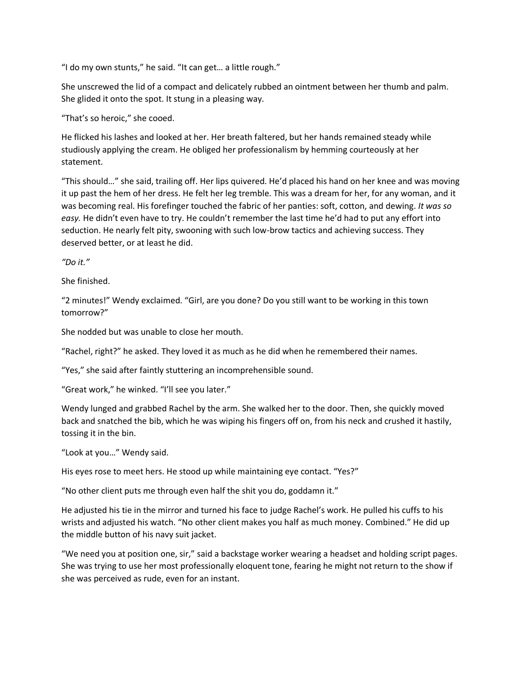"I do my own stunts," he said. "It can get… a little rough."

She unscrewed the lid of a compact and delicately rubbed an ointment between her thumb and palm. She glided it onto the spot. It stung in a pleasing way.

"That's so heroic," she cooed.

He flicked his lashes and looked at her. Her breath faltered, but her hands remained steady while studiously applying the cream. He obliged her professionalism by hemming courteously at her statement.

"This should…" she said, trailing off. Her lips quivered. He'd placed his hand on her knee and was moving it up past the hem of her dress. He felt her leg tremble. This was a dream for her, for any woman, and it was becoming real. His forefinger touched the fabric of her panties: soft, cotton, and dewing. *It was so easy.* He didn't even have to try. He couldn't remember the last time he'd had to put any effort into seduction. He nearly felt pity, swooning with such low-brow tactics and achieving success. They deserved better, or at least he did.

*"Do it."* 

She finished.

"2 minutes!" Wendy exclaimed. "Girl, are you done? Do you still want to be working in this town tomorrow?"

She nodded but was unable to close her mouth.

"Rachel, right?" he asked. They loved it as much as he did when he remembered their names.

"Yes," she said after faintly stuttering an incomprehensible sound.

"Great work," he winked. "I'll see you later."

Wendy lunged and grabbed Rachel by the arm. She walked her to the door. Then, she quickly moved back and snatched the bib, which he was wiping his fingers off on, from his neck and crushed it hastily, tossing it in the bin.

"Look at you…" Wendy said.

His eyes rose to meet hers. He stood up while maintaining eye contact. "Yes?"

"No other client puts me through even half the shit you do, goddamn it."

He adjusted his tie in the mirror and turned his face to judge Rachel's work. He pulled his cuffs to his wrists and adjusted his watch. "No other client makes you half as much money. Combined." He did up the middle button of his navy suit jacket.

"We need you at position one, sir," said a backstage worker wearing a headset and holding script pages. She was trying to use her most professionally eloquent tone, fearing he might not return to the show if she was perceived as rude, even for an instant.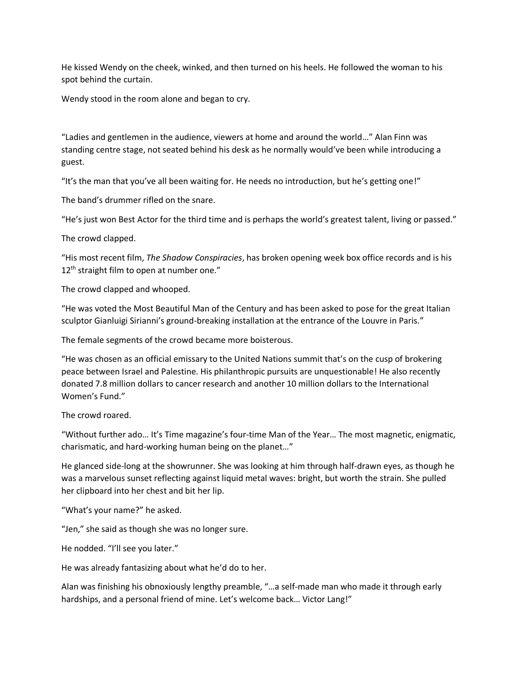He kissed Wendy on the cheek, winked, and then turned on his heels. He followed the woman to his spot behind the curtain.

Wendy stood in the room alone and began to cry.

"Ladies and gentlemen in the audience, viewers at home and around the world…" Alan Finn was standing centre stage, not seated behind his desk as he normally would've been while introducing a guest.

"It's the man that you've all been waiting for. He needs no introduction, but he's getting one!"

The band's drummer rifled on the snare.

"He's just won Best Actor for the third time and is perhaps the world's greatest talent, living or passed."

The crowd clapped.

"His most recent film, *The Shadow Conspiracies*, has broken opening week box office records and is his 12<sup>th</sup> straight film to open at number one."

The crowd clapped and whooped.

"He was voted the Most Beautiful Man of the Century and has been asked to pose for the great Italian sculptor Gianluigi Sirianni's ground-breaking installation at the entrance of the Louvre in Paris."

The female segments of the crowd became more boisterous.

"He was chosen as an official emissary to the United Nations summit that's on the cusp of brokering peace between Israel and Palestine. His philanthropic pursuits are unquestionable! He also recently donated 7.8 million dollars to cancer research and another 10 million dollars to the International Women's Fund."

The crowd roared.

"Without further ado… It's Time magazine's four-time Man of the Year… The most magnetic, enigmatic, charismatic, and hard-working human being on the planet…"

He glanced side-long at the showrunner. She was looking at him through half-drawn eyes, as though he was a marvelous sunset reflecting against liquid metal waves: bright, but worth the strain. She pulled her clipboard into her chest and bit her lip.

"What's your name?" he asked.

"Jen," she said as though she was no longer sure.

He nodded. "I'll see you later."

He was already fantasizing about what he'd do to her.

Alan was finishing his obnoxiously lengthy preamble, "…a self-made man who made it through early hardships, and a personal friend of mine. Let's welcome back… Victor Lang!"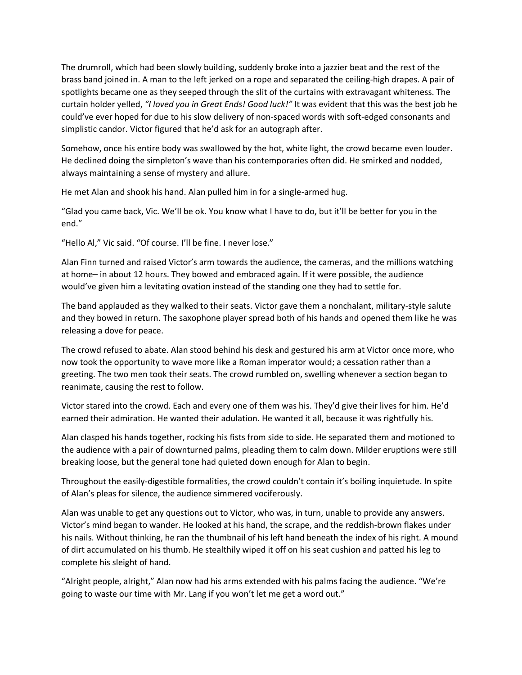The drumroll, which had been slowly building, suddenly broke into a jazzier beat and the rest of the brass band joined in. A man to the left jerked on a rope and separated the ceiling-high drapes. A pair of spotlights became one as they seeped through the slit of the curtains with extravagant whiteness. The curtain holder yelled, *"I loved you in Great Ends! Good luck!"* It was evident that this was the best job he could've ever hoped for due to his slow delivery of non-spaced words with soft-edged consonants and simplistic candor. Victor figured that he'd ask for an autograph after.

Somehow, once his entire body was swallowed by the hot, white light, the crowd became even louder. He declined doing the simpleton's wave than his contemporaries often did. He smirked and nodded, always maintaining a sense of mystery and allure.

He met Alan and shook his hand. Alan pulled him in for a single-armed hug.

"Glad you came back, Vic. We'll be ok. You know what I have to do, but it'll be better for you in the end."

"Hello Al," Vic said. "Of course. I'll be fine. I never lose."

Alan Finn turned and raised Victor's arm towards the audience, the cameras, and the millions watching at home– in about 12 hours. They bowed and embraced again. If it were possible, the audience would've given him a levitating ovation instead of the standing one they had to settle for.

The band applauded as they walked to their seats. Victor gave them a nonchalant, military-style salute and they bowed in return. The saxophone player spread both of his hands and opened them like he was releasing a dove for peace.

The crowd refused to abate. Alan stood behind his desk and gestured his arm at Victor once more, who now took the opportunity to wave more like a Roman imperator would; a cessation rather than a greeting. The two men took their seats. The crowd rumbled on, swelling whenever a section began to reanimate, causing the rest to follow.

Victor stared into the crowd. Each and every one of them was his. They'd give their lives for him. He'd earned their admiration. He wanted their adulation. He wanted it all, because it was rightfully his.

Alan clasped his hands together, rocking his fists from side to side. He separated them and motioned to the audience with a pair of downturned palms, pleading them to calm down. Milder eruptions were still breaking loose, but the general tone had quieted down enough for Alan to begin.

Throughout the easily-digestible formalities, the crowd couldn't contain it's boiling inquietude. In spite of Alan's pleas for silence, the audience simmered vociferously.

Alan was unable to get any questions out to Victor, who was, in turn, unable to provide any answers. Victor's mind began to wander. He looked at his hand, the scrape, and the reddish-brown flakes under his nails. Without thinking, he ran the thumbnail of his left hand beneath the index of his right. A mound of dirt accumulated on his thumb. He stealthily wiped it off on his seat cushion and patted his leg to complete his sleight of hand.

"Alright people, alright," Alan now had his arms extended with his palms facing the audience. "We're going to waste our time with Mr. Lang if you won't let me get a word out."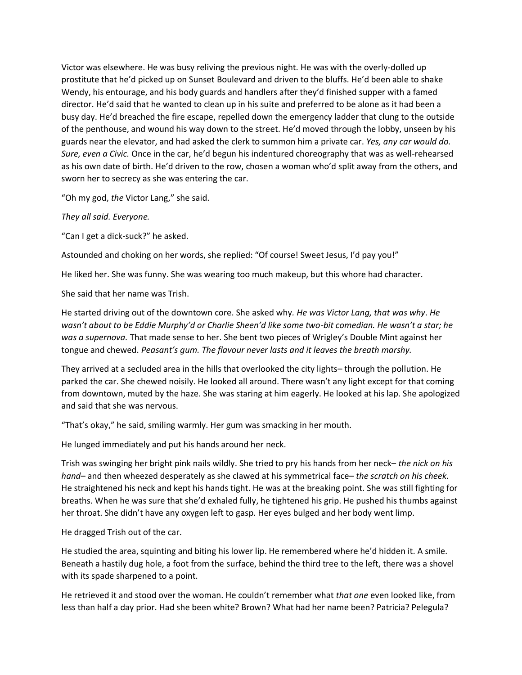Victor was elsewhere. He was busy reliving the previous night. He was with the overly-dolled up prostitute that he'd picked up on Sunset Boulevard and driven to the bluffs. He'd been able to shake Wendy, his entourage, and his body guards and handlers after they'd finished supper with a famed director. He'd said that he wanted to clean up in his suite and preferred to be alone as it had been a busy day. He'd breached the fire escape, repelled down the emergency ladder that clung to the outside of the penthouse, and wound his way down to the street. He'd moved through the lobby, unseen by his guards near the elevator, and had asked the clerk to summon him a private car. *Yes, any car would do. Sure, even a Civic.* Once in the car, he'd begun his indentured choreography that was as well-rehearsed as his own date of birth. He'd driven to the row, chosen a woman who'd split away from the others, and sworn her to secrecy as she was entering the car.

"Oh my god, *the* Victor Lang," she said.

*They all said. Everyone.*

"Can I get a dick-suck?" he asked.

Astounded and choking on her words, she replied: "Of course! Sweet Jesus, I'd pay you!"

He liked her. She was funny. She was wearing too much makeup, but this whore had character.

She said that her name was Trish.

He started driving out of the downtown core. She asked why*. He was Victor Lang, that was why*. *He wasn't about to be Eddie Murphy'd or Charlie Sheen'd like some two-bit comedian. He wasn't a star; he was a supernova.* That made sense to her. She bent two pieces of Wrigley's Double Mint against her tongue and chewed. *Peasant's gum. The flavour never lasts and it leaves the breath marshy.*

They arrived at a secluded area in the hills that overlooked the city lights– through the pollution. He parked the car. She chewed noisily. He looked all around. There wasn't any light except for that coming from downtown, muted by the haze. She was staring at him eagerly. He looked at his lap. She apologized and said that she was nervous.

"That's okay," he said, smiling warmly. Her gum was smacking in her mouth.

He lunged immediately and put his hands around her neck.

Trish was swinging her bright pink nails wildly. She tried to pry his hands from her neck– *the nick on his hand*– and then wheezed desperately as she clawed at his symmetrical face– *the scratch on his cheek*. He straightened his neck and kept his hands tight. He was at the breaking point. She was still fighting for breaths. When he was sure that she'd exhaled fully, he tightened his grip. He pushed his thumbs against her throat. She didn't have any oxygen left to gasp. Her eyes bulged and her body went limp.

He dragged Trish out of the car.

He studied the area, squinting and biting his lower lip. He remembered where he'd hidden it. A smile. Beneath a hastily dug hole, a foot from the surface, behind the third tree to the left, there was a shovel with its spade sharpened to a point.

He retrieved it and stood over the woman. He couldn't remember what *that one* even looked like, from less than half a day prior. Had she been white? Brown? What had her name been? Patricia? Pelegula?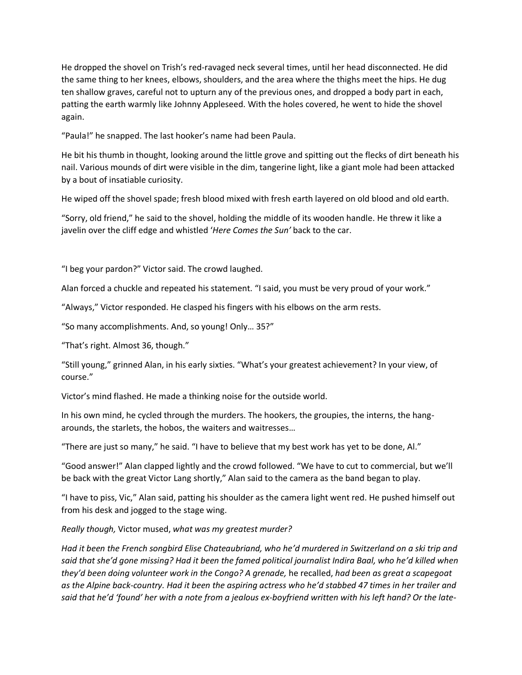He dropped the shovel on Trish's red-ravaged neck several times, until her head disconnected. He did the same thing to her knees, elbows, shoulders, and the area where the thighs meet the hips. He dug ten shallow graves, careful not to upturn any of the previous ones, and dropped a body part in each, patting the earth warmly like Johnny Appleseed. With the holes covered, he went to hide the shovel again.

"Paula!" he snapped. The last hooker's name had been Paula.

He bit his thumb in thought, looking around the little grove and spitting out the flecks of dirt beneath his nail. Various mounds of dirt were visible in the dim, tangerine light, like a giant mole had been attacked by a bout of insatiable curiosity.

He wiped off the shovel spade; fresh blood mixed with fresh earth layered on old blood and old earth.

"Sorry, old friend," he said to the shovel, holding the middle of its wooden handle. He threw it like a javelin over the cliff edge and whistled '*Here Comes the Sun'* back to the car.

"I beg your pardon?" Victor said. The crowd laughed.

Alan forced a chuckle and repeated his statement. "I said, you must be very proud of your work."

"Always," Victor responded. He clasped his fingers with his elbows on the arm rests.

"So many accomplishments. And, so young! Only… 35?"

"That's right. Almost 36, though."

"Still young," grinned Alan, in his early sixties. "What's your greatest achievement? In your view, of course."

Victor's mind flashed. He made a thinking noise for the outside world.

In his own mind, he cycled through the murders. The hookers, the groupies, the interns, the hangarounds, the starlets, the hobos, the waiters and waitresses…

"There are just so many," he said. "I have to believe that my best work has yet to be done, Al."

"Good answer!" Alan clapped lightly and the crowd followed. "We have to cut to commercial, but we'll be back with the great Victor Lang shortly," Alan said to the camera as the band began to play.

"I have to piss, Vic," Alan said, patting his shoulder as the camera light went red. He pushed himself out from his desk and jogged to the stage wing.

*Really though,* Victor mused, *what was my greatest murder?*

*Had it been the French songbird Elise Chateaubriand, who he'd murdered in Switzerland on a ski trip and said that she'd gone missing? Had it been the famed political journalist Indira Baal, who he'd killed when they'd been doing volunteer work in the Congo? A grenade,* he recalled, *had been as great a scapegoat as the Alpine back-country. Had it been the aspiring actress who he'd stabbed 47 times in her trailer and said that he'd 'found' her with a note from a jealous ex-boyfriend written with his left hand? Or the late-*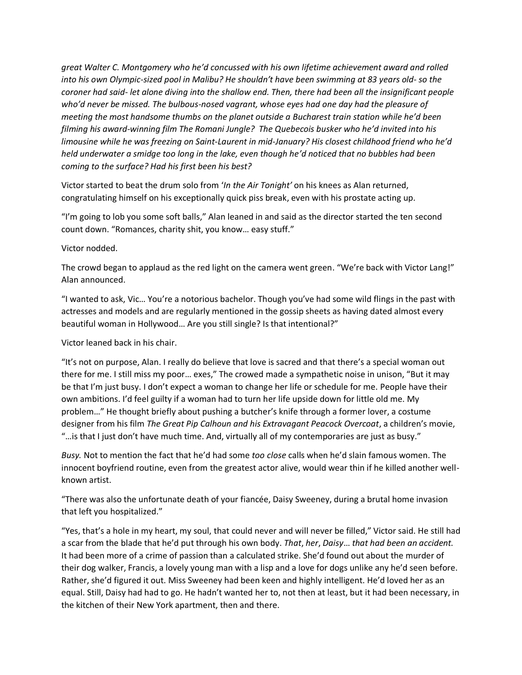*great Walter C. Montgomery who he'd concussed with his own lifetime achievement award and rolled into his own Olympic-sized pool in Malibu? He shouldn't have been swimming at 83 years old- so the coroner had said- let alone diving into the shallow end. Then, there had been all the insignificant people who'd never be missed. The bulbous-nosed vagrant, whose eyes had one day had the pleasure of meeting the most handsome thumbs on the planet outside a Bucharest train station while he'd been filming his award-winning film The Romani Jungle? The Quebecois busker who he'd invited into his limousine while he was freezing on Saint-Laurent in mid-January? His closest childhood friend who he'd held underwater a smidge too long in the lake, even though he'd noticed that no bubbles had been coming to the surface? Had his first been his best?*

Victor started to beat the drum solo from '*In the Air Tonight'* on his knees as Alan returned, congratulating himself on his exceptionally quick piss break, even with his prostate acting up.

"I'm going to lob you some soft balls," Alan leaned in and said as the director started the ten second count down. "Romances, charity shit, you know… easy stuff."

Victor nodded.

The crowd began to applaud as the red light on the camera went green. "We're back with Victor Lang!" Alan announced.

"I wanted to ask, Vic… You're a notorious bachelor. Though you've had some wild flings in the past with actresses and models and are regularly mentioned in the gossip sheets as having dated almost every beautiful woman in Hollywood… Are you still single? Is that intentional?"

Victor leaned back in his chair.

"It's not on purpose, Alan. I really do believe that love is sacred and that there's a special woman out there for me. I still miss my poor… exes," The crowed made a sympathetic noise in unison, "But it may be that I'm just busy. I don't expect a woman to change her life or schedule for me. People have their own ambitions. I'd feel guilty if a woman had to turn her life upside down for little old me. My problem…" He thought briefly about pushing a butcher's knife through a former lover, a costume designer from his film *The Great Pip Calhoun and his Extravagant Peacock Overcoat*, a children's movie, "…is that I just don't have much time. And, virtually all of my contemporaries are just as busy."

*Busy.* Not to mention the fact that he'd had some *too close* calls when he'd slain famous women. The innocent boyfriend routine, even from the greatest actor alive, would wear thin if he killed another wellknown artist.

"There was also the unfortunate death of your fiancée, Daisy Sweeney, during a brutal home invasion that left you hospitalized."

"Yes, that's a hole in my heart, my soul, that could never and will never be filled," Victor said. He still had a scar from the blade that he'd put through his own body. *That*, *her*, *Daisy*… *that had been an accident.* It had been more of a crime of passion than a calculated strike. She'd found out about the murder of their dog walker, Francis, a lovely young man with a lisp and a love for dogs unlike any he'd seen before. Rather, she'd figured it out. Miss Sweeney had been keen and highly intelligent. He'd loved her as an equal. Still, Daisy had had to go. He hadn't wanted her to, not then at least, but it had been necessary, in the kitchen of their New York apartment, then and there.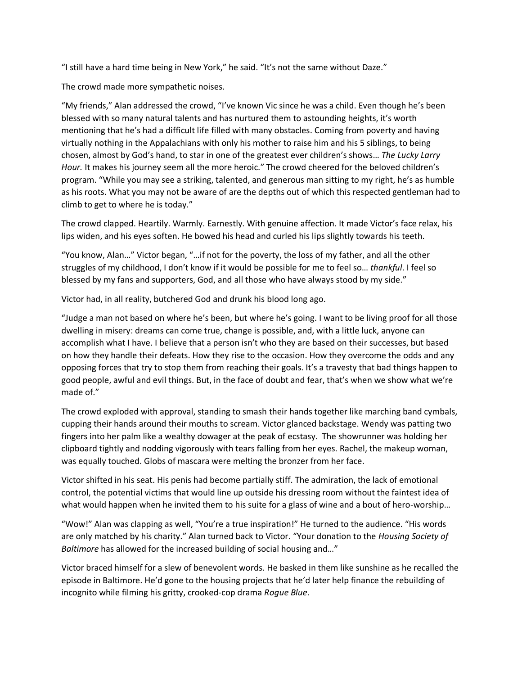"I still have a hard time being in New York," he said. "It's not the same without Daze."

The crowd made more sympathetic noises.

"My friends," Alan addressed the crowd, "I've known Vic since he was a child. Even though he's been blessed with so many natural talents and has nurtured them to astounding heights, it's worth mentioning that he's had a difficult life filled with many obstacles. Coming from poverty and having virtually nothing in the Appalachians with only his mother to raise him and his 5 siblings, to being chosen, almost by God's hand, to star in one of the greatest ever children's shows… *The Lucky Larry Hour.* It makes his journey seem all the more heroic." The crowd cheered for the beloved children's program. "While you may see a striking, talented, and generous man sitting to my right, he's as humble as his roots. What you may not be aware of are the depths out of which this respected gentleman had to climb to get to where he is today."

The crowd clapped. Heartily. Warmly. Earnestly. With genuine affection. It made Victor's face relax, his lips widen, and his eyes soften. He bowed his head and curled his lips slightly towards his teeth.

"You know, Alan…" Victor began, "…if not for the poverty, the loss of my father, and all the other struggles of my childhood, I don't know if it would be possible for me to feel so… *thankful*. I feel so blessed by my fans and supporters, God, and all those who have always stood by my side."

Victor had, in all reality, butchered God and drunk his blood long ago.

"Judge a man not based on where he's been, but where he's going. I want to be living proof for all those dwelling in misery: dreams can come true, change is possible, and, with a little luck, anyone can accomplish what I have. I believe that a person isn't who they are based on their successes, but based on how they handle their defeats. How they rise to the occasion. How they overcome the odds and any opposing forces that try to stop them from reaching their goals. It's a travesty that bad things happen to good people, awful and evil things. But, in the face of doubt and fear, that's when we show what we're made of."

The crowd exploded with approval, standing to smash their hands together like marching band cymbals, cupping their hands around their mouths to scream. Victor glanced backstage. Wendy was patting two fingers into her palm like a wealthy dowager at the peak of ecstasy. The showrunner was holding her clipboard tightly and nodding vigorously with tears falling from her eyes. Rachel, the makeup woman, was equally touched. Globs of mascara were melting the bronzer from her face.

Victor shifted in his seat. His penis had become partially stiff. The admiration, the lack of emotional control, the potential victims that would line up outside his dressing room without the faintest idea of what would happen when he invited them to his suite for a glass of wine and a bout of hero-worship...

"Wow!" Alan was clapping as well, "You're a true inspiration!" He turned to the audience. "His words are only matched by his charity." Alan turned back to Victor. "Your donation to the *Housing Society of Baltimore* has allowed for the increased building of social housing and…"

Victor braced himself for a slew of benevolent words. He basked in them like sunshine as he recalled the episode in Baltimore. He'd gone to the housing projects that he'd later help finance the rebuilding of incognito while filming his gritty, crooked-cop drama *Rogue Blue*.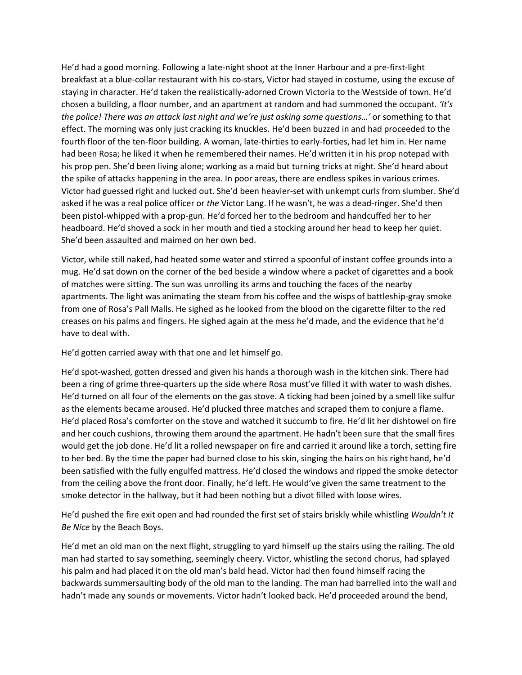He'd had a good morning. Following a late-night shoot at the Inner Harbour and a pre-first-light breakfast at a blue-collar restaurant with his co-stars, Victor had stayed in costume, using the excuse of staying in character. He'd taken the realistically-adorned Crown Victoria to the Westside of town. He'd chosen a building, a floor number, and an apartment at random and had summoned the occupant. *'It's the police! There was an attack last night and we're just asking some questions…'* or something to that effect. The morning was only just cracking its knuckles. He'd been buzzed in and had proceeded to the fourth floor of the ten-floor building. A woman, late-thirties to early-forties, had let him in. Her name had been Rosa; he liked it when he remembered their names. He'd written it in his prop notepad with his prop pen. She'd been living alone; working as a maid but turning tricks at night. She'd heard about the spike of attacks happening in the area. In poor areas, there are endless spikes in various crimes. Victor had guessed right and lucked out. She'd been heavier-set with unkempt curls from slumber. She'd asked if he was a real police officer or *the* Victor Lang. If he wasn't, he was a dead-ringer. She'd then been pistol-whipped with a prop-gun. He'd forced her to the bedroom and handcuffed her to her headboard. He'd shoved a sock in her mouth and tied a stocking around her head to keep her quiet. She'd been assaulted and maimed on her own bed.

Victor, while still naked, had heated some water and stirred a spoonful of instant coffee grounds into a mug. He'd sat down on the corner of the bed beside a window where a packet of cigarettes and a book of matches were sitting. The sun was unrolling its arms and touching the faces of the nearby apartments. The light was animating the steam from his coffee and the wisps of battleship-gray smoke from one of Rosa's Pall Malls. He sighed as he looked from the blood on the cigarette filter to the red creases on his palms and fingers. He sighed again at the mess he'd made, and the evidence that he'd have to deal with.

He'd gotten carried away with that one and let himself go.

He'd spot-washed, gotten dressed and given his hands a thorough wash in the kitchen sink. There had been a ring of grime three-quarters up the side where Rosa must've filled it with water to wash dishes. He'd turned on all four of the elements on the gas stove. A ticking had been joined by a smell like sulfur as the elements became aroused. He'd plucked three matches and scraped them to conjure a flame. He'd placed Rosa's comforter on the stove and watched it succumb to fire. He'd lit her dishtowel on fire and her couch cushions, throwing them around the apartment. He hadn't been sure that the small fires would get the job done. He'd lit a rolled newspaper on fire and carried it around like a torch, setting fire to her bed. By the time the paper had burned close to his skin, singing the hairs on his right hand, he'd been satisfied with the fully engulfed mattress. He'd closed the windows and ripped the smoke detector from the ceiling above the front door. Finally, he'd left. He would've given the same treatment to the smoke detector in the hallway, but it had been nothing but a divot filled with loose wires.

He'd pushed the fire exit open and had rounded the first set of stairs briskly while whistling *Wouldn't It Be Nice* by the Beach Boys.

He'd met an old man on the next flight, struggling to yard himself up the stairs using the railing. The old man had started to say something, seemingly cheery. Victor, whistling the second chorus, had splayed his palm and had placed it on the old man's bald head. Victor had then found himself racing the backwards summersaulting body of the old man to the landing. The man had barrelled into the wall and hadn't made any sounds or movements. Victor hadn't looked back. He'd proceeded around the bend,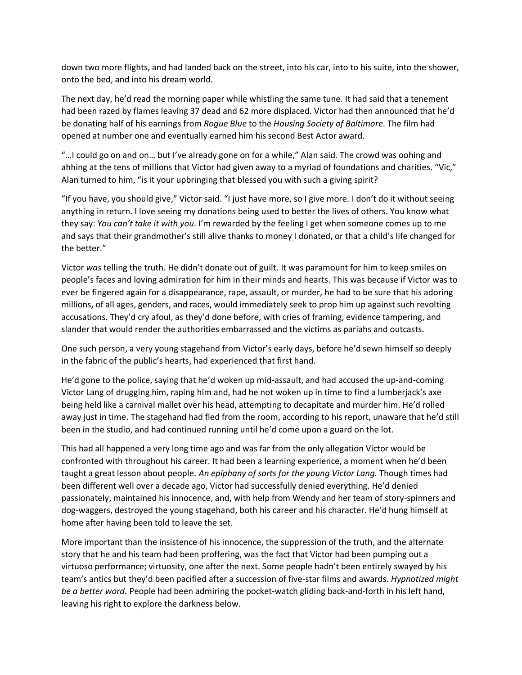down two more flights, and had landed back on the street, into his car, into to his suite, into the shower, onto the bed, and into his dream world.

The next day, he'd read the morning paper while whistling the same tune. It had said that a tenement had been razed by flames leaving 37 dead and 62 more displaced. Victor had then announced that he'd be donating half of his earnings from *Rogue Blue* to the *Housing Society of Baltimore*. The film had opened at number one and eventually earned him his second Best Actor award.

"…I could go on and on… but I've already gone on for a while," Alan said. The crowd was oohing and ahhing at the tens of millions that Victor had given away to a myriad of foundations and charities. "Vic," Alan turned to him, "is it your upbringing that blessed you with such a giving spirit?

"If you have, you should give," Victor said. "I just have more, so I give more. I don't do it without seeing anything in return. I love seeing my donations being used to better the lives of others. You know what they say: *You can't take it with you.* I'm rewarded by the feeling I get when someone comes up to me and says that their grandmother's still alive thanks to money I donated, or that a child's life changed for the better."

Victor *was* telling the truth. He didn't donate out of guilt. It was paramount for him to keep smiles on people's faces and loving admiration for him in their minds and hearts. This was because if Victor was to ever be fingered again for a disappearance, rape, assault, or murder, he had to be sure that his adoring millions, of all ages, genders, and races, would immediately seek to prop him up against such revolting accusations. They'd cry afoul, as they'd done before, with cries of framing, evidence tampering, and slander that would render the authorities embarrassed and the victims as pariahs and outcasts.

One such person, a very young stagehand from Victor's early days, before he'd sewn himself so deeply in the fabric of the public's hearts, had experienced that first hand.

He'd gone to the police, saying that he'd woken up mid-assault, and had accused the up-and-coming Victor Lang of drugging him, raping him and, had he not woken up in time to find a lumberjack's axe being held like a carnival mallet over his head, attempting to decapitate and murder him. He'd rolled away just in time. The stagehand had fled from the room, according to his report, unaware that he'd still been in the studio, and had continued running until he'd come upon a guard on the lot.

This had all happened a very long time ago and was far from the only allegation Victor would be confronted with throughout his career. It had been a learning experience, a moment when he'd been taught a great lesson about people. *An epiphany of sorts for the young Victor Lang.* Though times had been different well over a decade ago, Victor had successfully denied everything. He'd denied passionately, maintained his innocence, and, with help from Wendy and her team of story-spinners and dog-waggers, destroyed the young stagehand, both his career and his character. He'd hung himself at home after having been told to leave the set.

More important than the insistence of his innocence, the suppression of the truth, and the alternate story that he and his team had been proffering, was the fact that Victor had been pumping out a virtuoso performance; virtuosity, one after the next. Some people hadn't been entirely swayed by his team's antics but they'd been pacified after a succession of five-star films and awards. *Hypnotized might be a better word.* People had been admiring the pocket-watch gliding back-and-forth in his left hand, leaving his right to explore the darkness below.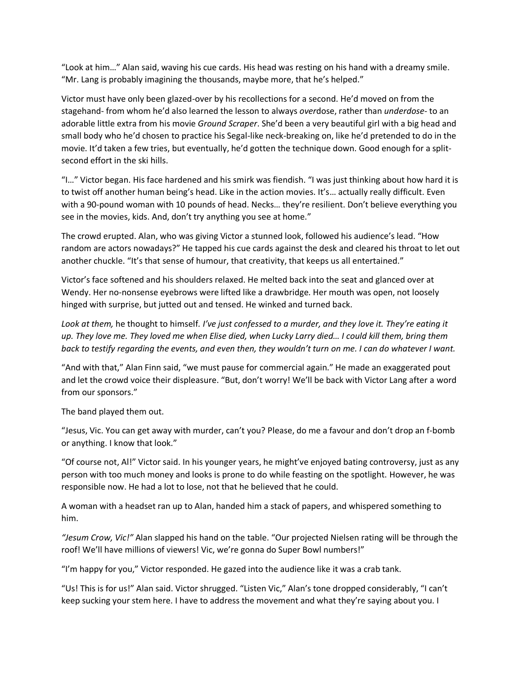"Look at him…" Alan said, waving his cue cards. His head was resting on his hand with a dreamy smile. "Mr. Lang is probably imagining the thousands, maybe more, that he's helped."

Victor must have only been glazed-over by his recollections for a second. He'd moved on from the stagehand- from whom he'd also learned the lesson to always *over*dose, rather than *underdose*- to an adorable little extra from his movie *Ground Scraper*. She'd been a very beautiful girl with a big head and small body who he'd chosen to practice his Segal-like neck-breaking on, like he'd pretended to do in the movie. It'd taken a few tries, but eventually, he'd gotten the technique down. Good enough for a splitsecond effort in the ski hills.

"I…" Victor began. His face hardened and his smirk was fiendish. "I was just thinking about how hard it is to twist off another human being's head. Like in the action movies. It's… actually really difficult. Even with a 90-pound woman with 10 pounds of head. Necks… they're resilient. Don't believe everything you see in the movies, kids. And, don't try anything you see at home."

The crowd erupted. Alan, who was giving Victor a stunned look, followed his audience's lead. "How random are actors nowadays?" He tapped his cue cards against the desk and cleared his throat to let out another chuckle. "It's that sense of humour, that creativity, that keeps us all entertained."

Victor's face softened and his shoulders relaxed. He melted back into the seat and glanced over at Wendy. Her no-nonsense eyebrows were lifted like a drawbridge. Her mouth was open, not loosely hinged with surprise, but jutted out and tensed. He winked and turned back.

*Look at them,* he thought to himself*. I've just confessed to a murder, and they love it. They're eating it up. They love me. They loved me when Elise died, when Lucky Larry died… I could kill them, bring them back to testify regarding the events, and even then, they wouldn't turn on me. I can do whatever I want.*

"And with that," Alan Finn said, "we must pause for commercial again." He made an exaggerated pout and let the crowd voice their displeasure. "But, don't worry! We'll be back with Victor Lang after a word from our sponsors."

The band played them out.

"Jesus, Vic. You can get away with murder, can't you? Please, do me a favour and don't drop an f-bomb or anything. I know that look."

"Of course not, Al!" Victor said. In his younger years, he might've enjoyed bating controversy, just as any person with too much money and looks is prone to do while feasting on the spotlight. However, he was responsible now. He had a lot to lose, not that he believed that he could.

A woman with a headset ran up to Alan, handed him a stack of papers, and whispered something to him.

*"Jesum Crow, Vic!"* Alan slapped his hand on the table. "Our projected Nielsen rating will be through the roof! We'll have millions of viewers! Vic, we're gonna do Super Bowl numbers!"

"I'm happy for you," Victor responded. He gazed into the audience like it was a crab tank.

"Us! This is for us!" Alan said. Victor shrugged. "Listen Vic," Alan's tone dropped considerably, "I can't keep sucking your stem here. I have to address the movement and what they're saying about you. I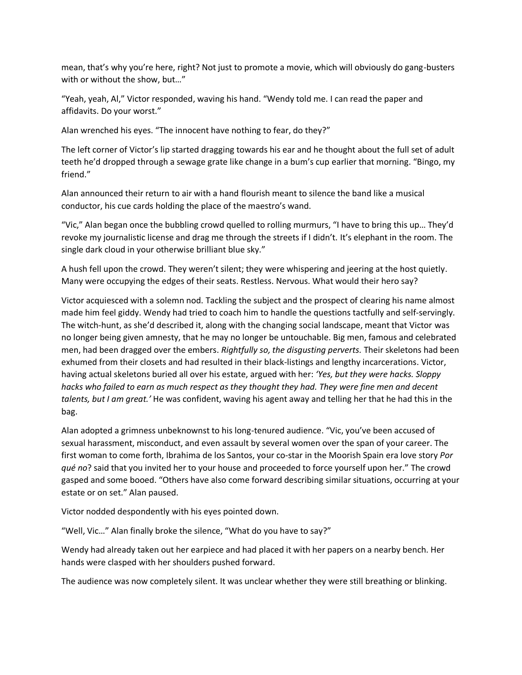mean, that's why you're here, right? Not just to promote a movie, which will obviously do gang-busters with or without the show, but…"

"Yeah, yeah, Al," Victor responded, waving his hand. "Wendy told me. I can read the paper and affidavits. Do your worst."

Alan wrenched his eyes. "The innocent have nothing to fear, do they?"

The left corner of Victor's lip started dragging towards his ear and he thought about the full set of adult teeth he'd dropped through a sewage grate like change in a bum's cup earlier that morning. "Bingo, my friend."

Alan announced their return to air with a hand flourish meant to silence the band like a musical conductor, his cue cards holding the place of the maestro's wand.

"Vic," Alan began once the bubbling crowd quelled to rolling murmurs, "I have to bring this up… They'd revoke my journalistic license and drag me through the streets if I didn't. It's elephant in the room. The single dark cloud in your otherwise brilliant blue sky."

A hush fell upon the crowd. They weren't silent; they were whispering and jeering at the host quietly. Many were occupying the edges of their seats. Restless. Nervous. What would their hero say?

Victor acquiesced with a solemn nod. Tackling the subject and the prospect of clearing his name almost made him feel giddy. Wendy had tried to coach him to handle the questions tactfully and self-servingly. The witch-hunt, as she'd described it, along with the changing social landscape, meant that Victor was no longer being given amnesty, that he may no longer be untouchable. Big men, famous and celebrated men, had been dragged over the embers. *Rightfully so, the disgusting perverts.* Their skeletons had been exhumed from their closets and had resulted in their black-listings and lengthy incarcerations. Victor, having actual skeletons buried all over his estate, argued with her: *'Yes, but they were hacks. Sloppy hacks who failed to earn as much respect as they thought they had. They were fine men and decent talents, but I am great.'* He was confident, waving his agent away and telling her that he had this in the bag.

Alan adopted a grimness unbeknownst to his long-tenured audience. "Vic, you've been accused of sexual harassment, misconduct, and even assault by several women over the span of your career. The first woman to come forth, Ibrahima de los Santos, your co-star in the Moorish Spain era love story *Por qué no*? said that you invited her to your house and proceeded to force yourself upon her." The crowd gasped and some booed. "Others have also come forward describing similar situations, occurring at your estate or on set." Alan paused.

Victor nodded despondently with his eyes pointed down.

"Well, Vic…" Alan finally broke the silence, "What do you have to say?"

Wendy had already taken out her earpiece and had placed it with her papers on a nearby bench. Her hands were clasped with her shoulders pushed forward.

The audience was now completely silent. It was unclear whether they were still breathing or blinking.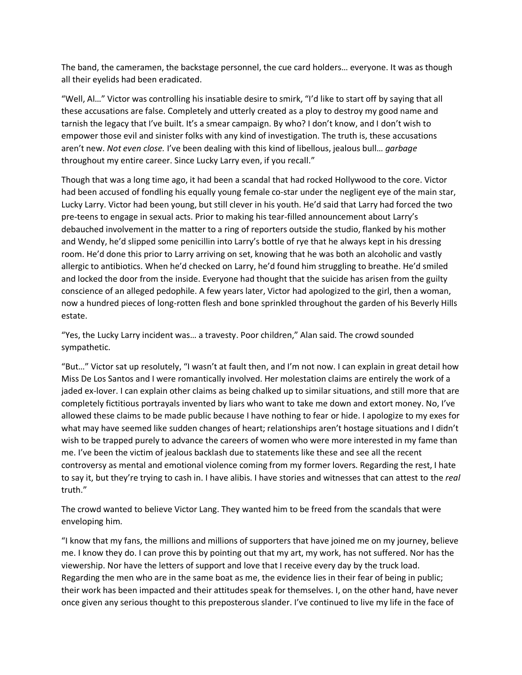The band, the cameramen, the backstage personnel, the cue card holders… everyone. It was as though all their eyelids had been eradicated.

"Well, Al…" Victor was controlling his insatiable desire to smirk, "I'd like to start off by saying that all these accusations are false. Completely and utterly created as a ploy to destroy my good name and tarnish the legacy that I've built. It's a smear campaign. By who? I don't know, and I don't wish to empower those evil and sinister folks with any kind of investigation. The truth is, these accusations aren't new. *Not even close.* I've been dealing with this kind of libellous, jealous bull… *garbage* throughout my entire career. Since Lucky Larry even, if you recall."

Though that was a long time ago, it had been a scandal that had rocked Hollywood to the core. Victor had been accused of fondling his equally young female co-star under the negligent eye of the main star, Lucky Larry. Victor had been young, but still clever in his youth. He'd said that Larry had forced the two pre-teens to engage in sexual acts. Prior to making his tear-filled announcement about Larry's debauched involvement in the matter to a ring of reporters outside the studio, flanked by his mother and Wendy, he'd slipped some penicillin into Larry's bottle of rye that he always kept in his dressing room. He'd done this prior to Larry arriving on set, knowing that he was both an alcoholic and vastly allergic to antibiotics. When he'd checked on Larry, he'd found him struggling to breathe. He'd smiled and locked the door from the inside. Everyone had thought that the suicide has arisen from the guilty conscience of an alleged pedophile. A few years later, Victor had apologized to the girl, then a woman, now a hundred pieces of long-rotten flesh and bone sprinkled throughout the garden of his Beverly Hills estate.

"Yes, the Lucky Larry incident was… a travesty. Poor children," Alan said. The crowd sounded sympathetic.

"But…" Victor sat up resolutely, "I wasn't at fault then, and I'm not now. I can explain in great detail how Miss De Los Santos and I were romantically involved. Her molestation claims are entirely the work of a jaded ex-lover. I can explain other claims as being chalked up to similar situations, and still more that are completely fictitious portrayals invented by liars who want to take me down and extort money. No, I've allowed these claims to be made public because I have nothing to fear or hide. I apologize to my exes for what may have seemed like sudden changes of heart; relationships aren't hostage situations and I didn't wish to be trapped purely to advance the careers of women who were more interested in my fame than me. I've been the victim of jealous backlash due to statements like these and see all the recent controversy as mental and emotional violence coming from my former lovers. Regarding the rest, I hate to say it, but they're trying to cash in. I have alibis. I have stories and witnesses that can attest to the *real*  truth."

The crowd wanted to believe Victor Lang. They wanted him to be freed from the scandals that were enveloping him.

"I know that my fans, the millions and millions of supporters that have joined me on my journey, believe me. I know they do. I can prove this by pointing out that my art, my work, has not suffered. Nor has the viewership. Nor have the letters of support and love that I receive every day by the truck load. Regarding the men who are in the same boat as me, the evidence lies in their fear of being in public; their work has been impacted and their attitudes speak for themselves. I, on the other hand, have never once given any serious thought to this preposterous slander. I've continued to live my life in the face of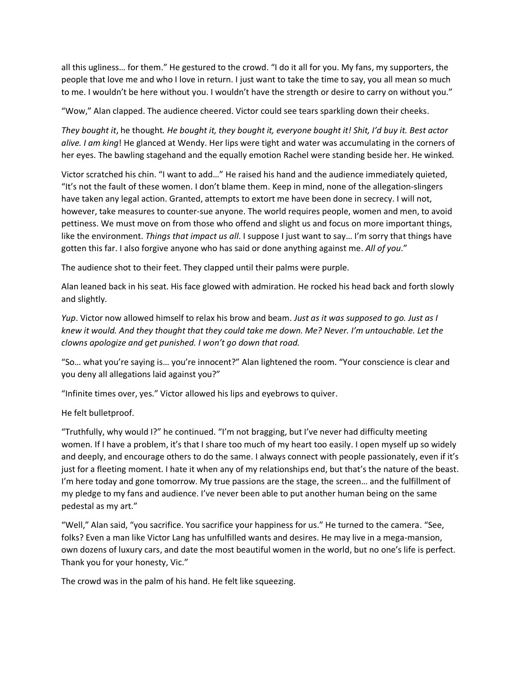all this ugliness… for them." He gestured to the crowd. "I do it all for you. My fans, my supporters, the people that love me and who I love in return. I just want to take the time to say, you all mean so much to me. I wouldn't be here without you. I wouldn't have the strength or desire to carry on without you."

"Wow," Alan clapped. The audience cheered. Victor could see tears sparkling down their cheeks.

*They bought it*, he thought*. He bought it, they bought it, everyone bought it! Shit, I'd buy it. Best actor alive. I am king*! He glanced at Wendy. Her lips were tight and water was accumulating in the corners of her eyes. The bawling stagehand and the equally emotion Rachel were standing beside her. He winked.

Victor scratched his chin. "I want to add…" He raised his hand and the audience immediately quieted, "It's not the fault of these women. I don't blame them. Keep in mind, none of the allegation-slingers have taken any legal action. Granted, attempts to extort me have been done in secrecy. I will not, however, take measures to counter-sue anyone. The world requires people, women and men, to avoid pettiness. We must move on from those who offend and slight us and focus on more important things, like the environment. *Things that impact us all*. I suppose I just want to say… I'm sorry that things have gotten this far. I also forgive anyone who has said or done anything against me. *All of you*."

The audience shot to their feet. They clapped until their palms were purple.

Alan leaned back in his seat. His face glowed with admiration. He rocked his head back and forth slowly and slightly.

*Yup*. Victor now allowed himself to relax his brow and beam. *Just as it was supposed to go. Just as I knew it would. And they thought that they could take me down. Me? Never. I'm untouchable. Let the clowns apologize and get punished. I won't go down that road.*

"So… what you're saying is… you're innocent?" Alan lightened the room. "Your conscience is clear and you deny all allegations laid against you?"

"Infinite times over, yes." Victor allowed his lips and eyebrows to quiver.

He felt bulletproof.

"Truthfully, why would I?" he continued. "I'm not bragging, but I've never had difficulty meeting women. If I have a problem, it's that I share too much of my heart too easily. I open myself up so widely and deeply, and encourage others to do the same. I always connect with people passionately, even if it's just for a fleeting moment. I hate it when any of my relationships end, but that's the nature of the beast. I'm here today and gone tomorrow. My true passions are the stage, the screen… and the fulfillment of my pledge to my fans and audience. I've never been able to put another human being on the same pedestal as my art."

"Well," Alan said, "you sacrifice. You sacrifice your happiness for us." He turned to the camera. "See, folks? Even a man like Victor Lang has unfulfilled wants and desires. He may live in a mega-mansion, own dozens of luxury cars, and date the most beautiful women in the world, but no one's life is perfect. Thank you for your honesty, Vic."

The crowd was in the palm of his hand. He felt like squeezing.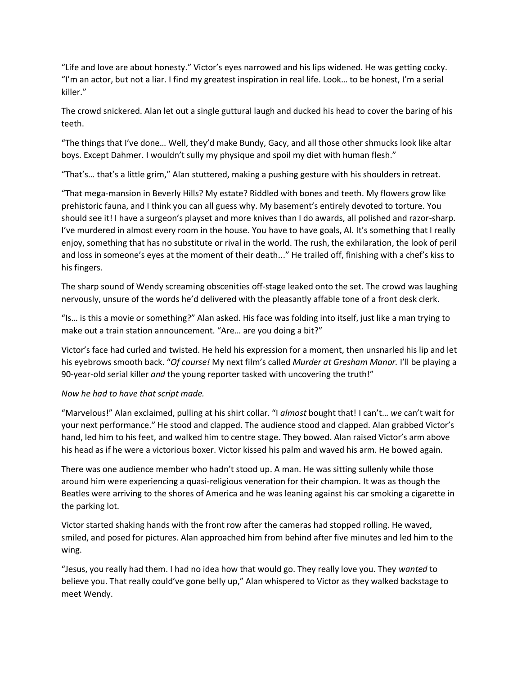"Life and love are about honesty." Victor's eyes narrowed and his lips widened. He was getting cocky. "I'm an actor, but not a liar. I find my greatest inspiration in real life. Look… to be honest, I'm a serial killer."

The crowd snickered. Alan let out a single guttural laugh and ducked his head to cover the baring of his teeth.

"The things that I've done… Well, they'd make Bundy, Gacy, and all those other shmucks look like altar boys. Except Dahmer. I wouldn't sully my physique and spoil my diet with human flesh."

"That's… that's a little grim," Alan stuttered, making a pushing gesture with his shoulders in retreat.

"That mega-mansion in Beverly Hills? My estate? Riddled with bones and teeth. My flowers grow like prehistoric fauna, and I think you can all guess why. My basement's entirely devoted to torture. You should see it! I have a surgeon's playset and more knives than I do awards, all polished and razor-sharp. I've murdered in almost every room in the house. You have to have goals, Al. It's something that I really enjoy, something that has no substitute or rival in the world. The rush, the exhilaration, the look of peril and loss in someone's eyes at the moment of their death..." He trailed off, finishing with a chef's kiss to his fingers.

The sharp sound of Wendy screaming obscenities off-stage leaked onto the set. The crowd was laughing nervously, unsure of the words he'd delivered with the pleasantly affable tone of a front desk clerk.

"Is… is this a movie or something?" Alan asked. His face was folding into itself, just like a man trying to make out a train station announcement. "Are… are you doing a bit?"

Victor's face had curled and twisted. He held his expression for a moment, then unsnarled his lip and let his eyebrows smooth back. "*Of course!* My next film's called *Murder at Gresham Manor.* I'll be playing a 90-year-old serial killer *and* the young reporter tasked with uncovering the truth!"

## *Now he had to have that script made.*

"Marvelous!" Alan exclaimed, pulling at his shirt collar. "I *almost* bought that! I can't… *we* can't wait for your next performance." He stood and clapped. The audience stood and clapped. Alan grabbed Victor's hand, led him to his feet, and walked him to centre stage. They bowed. Alan raised Victor's arm above his head as if he were a victorious boxer. Victor kissed his palm and waved his arm. He bowed again.

There was one audience member who hadn't stood up. A man. He was sitting sullenly while those around him were experiencing a quasi-religious veneration for their champion. It was as though the Beatles were arriving to the shores of America and he was leaning against his car smoking a cigarette in the parking lot.

Victor started shaking hands with the front row after the cameras had stopped rolling. He waved, smiled, and posed for pictures. Alan approached him from behind after five minutes and led him to the wing.

"Jesus, you really had them. I had no idea how that would go. They really love you. They *wanted* to believe you. That really could've gone belly up," Alan whispered to Victor as they walked backstage to meet Wendy.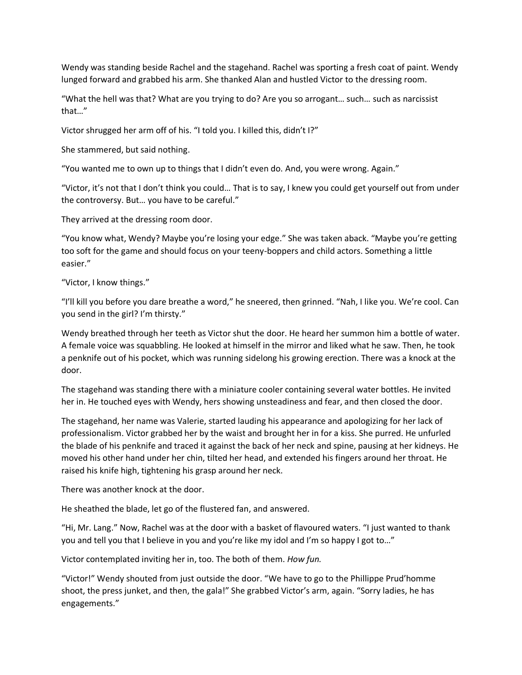Wendy was standing beside Rachel and the stagehand. Rachel was sporting a fresh coat of paint. Wendy lunged forward and grabbed his arm. She thanked Alan and hustled Victor to the dressing room.

"What the hell was that? What are you trying to do? Are you so arrogant… such… such as narcissist that…"

Victor shrugged her arm off of his. "I told you. I killed this, didn't I?"

She stammered, but said nothing.

"You wanted me to own up to things that I didn't even do. And, you were wrong. Again."

"Victor, it's not that I don't think you could… That is to say, I knew you could get yourself out from under the controversy. But… you have to be careful."

They arrived at the dressing room door.

"You know what, Wendy? Maybe you're losing your edge." She was taken aback. "Maybe you're getting too soft for the game and should focus on your teeny-boppers and child actors. Something a little easier."

"Victor, I know things."

"I'll kill you before you dare breathe a word," he sneered, then grinned. "Nah, I like you. We're cool. Can you send in the girl? I'm thirsty."

Wendy breathed through her teeth as Victor shut the door. He heard her summon him a bottle of water. A female voice was squabbling. He looked at himself in the mirror and liked what he saw. Then, he took a penknife out of his pocket, which was running sidelong his growing erection. There was a knock at the door.

The stagehand was standing there with a miniature cooler containing several water bottles. He invited her in. He touched eyes with Wendy, hers showing unsteadiness and fear, and then closed the door.

The stagehand, her name was Valerie, started lauding his appearance and apologizing for her lack of professionalism. Victor grabbed her by the waist and brought her in for a kiss. She purred. He unfurled the blade of his penknife and traced it against the back of her neck and spine, pausing at her kidneys. He moved his other hand under her chin, tilted her head, and extended his fingers around her throat. He raised his knife high, tightening his grasp around her neck.

There was another knock at the door.

He sheathed the blade, let go of the flustered fan, and answered.

"Hi, Mr. Lang." Now, Rachel was at the door with a basket of flavoured waters. "I just wanted to thank you and tell you that I believe in you and you're like my idol and I'm so happy I got to…"

Victor contemplated inviting her in, too. The both of them. *How fun.*

"Victor!" Wendy shouted from just outside the door. "We have to go to the Phillippe Prud'homme shoot, the press junket, and then, the gala!" She grabbed Victor's arm, again. "Sorry ladies, he has engagements."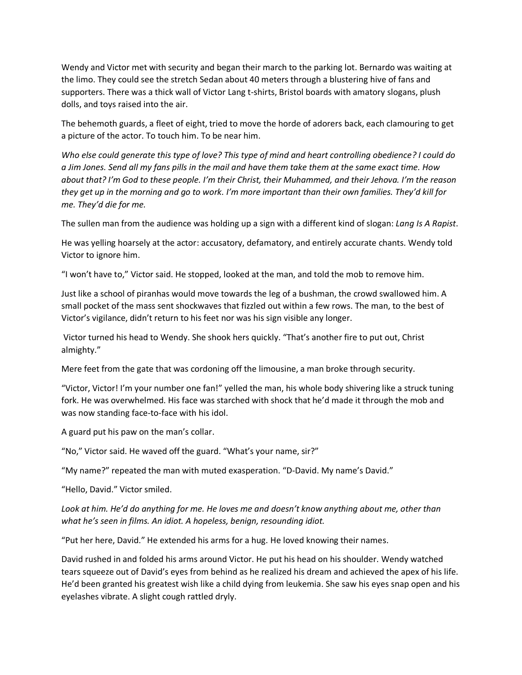Wendy and Victor met with security and began their march to the parking lot. Bernardo was waiting at the limo. They could see the stretch Sedan about 40 meters through a blustering hive of fans and supporters. There was a thick wall of Victor Lang t-shirts, Bristol boards with amatory slogans, plush dolls, and toys raised into the air.

The behemoth guards, a fleet of eight, tried to move the horde of adorers back, each clamouring to get a picture of the actor. To touch him. To be near him.

*Who else could generate this type of love? This type of mind and heart controlling obedience? I could do a Jim Jones. Send all my fans pills in the mail and have them take them at the same exact time. How about that? I'm God to these people. I'm their Christ, their Muhammed, and their Jehova. I'm the reason they get up in the morning and go to work. I'm more important than their own families. They'd kill for me. They'd die for me.* 

The sullen man from the audience was holding up a sign with a different kind of slogan: *Lang Is A Rapist*.

He was yelling hoarsely at the actor: accusatory, defamatory, and entirely accurate chants. Wendy told Victor to ignore him.

"I won't have to," Victor said. He stopped, looked at the man, and told the mob to remove him.

Just like a school of piranhas would move towards the leg of a bushman, the crowd swallowed him. A small pocket of the mass sent shockwaves that fizzled out within a few rows. The man, to the best of Victor's vigilance, didn't return to his feet nor was his sign visible any longer.

Victor turned his head to Wendy. She shook hers quickly. "That's another fire to put out, Christ almighty."

Mere feet from the gate that was cordoning off the limousine, a man broke through security.

"Victor, Victor! I'm your number one fan!" yelled the man, his whole body shivering like a struck tuning fork. He was overwhelmed. His face was starched with shock that he'd made it through the mob and was now standing face-to-face with his idol.

A guard put his paw on the man's collar.

"No," Victor said. He waved off the guard. "What's your name, sir?"

"My name?" repeated the man with muted exasperation. "D-David. My name's David."

"Hello, David." Victor smiled.

*Look at him. He'd do anything for me. He loves me and doesn't know anything about me, other than what he's seen in films. An idiot. A hopeless, benign, resounding idiot.*

"Put her here, David." He extended his arms for a hug. He loved knowing their names.

David rushed in and folded his arms around Victor. He put his head on his shoulder. Wendy watched tears squeeze out of David's eyes from behind as he realized his dream and achieved the apex of his life. He'd been granted his greatest wish like a child dying from leukemia. She saw his eyes snap open and his eyelashes vibrate. A slight cough rattled dryly.